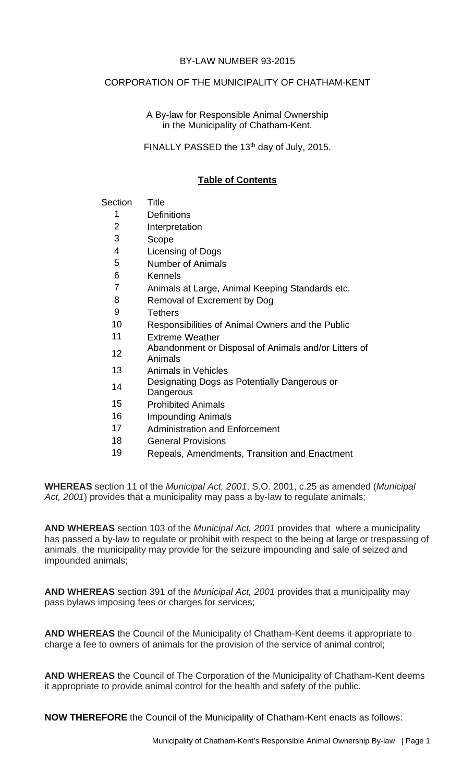#### BY-LAW NUMBER 93-2015

#### CORPORATION OF THE MUNICIPALITY OF CHATHAM-KENT

A By-law for Responsible Animal Ownership in the Municipality of Chatham-Kent.

FINALLY PASSED the 13<sup>th</sup> day of July, 2015.

### **Table of Contents**

#### Section Title

- 1 Definitions
- 2 Interpretation
- 3 Scope
- 4 Licensing of Dogs
- 5 Number of Animals
- 6 Kennels
- 7 Animals at Large, Animal Keeping Standards etc.
- 8 Removal of Excrement by Dog
- 9 Tethers
- 10 Responsibilities of Animal Owners and the Public
- 11 Extreme Weather
- 12 Abandonment or Disposal of Animals and/or Litters of
- Animals
- 13 Animals in Vehicles
- 14 Designating Dogs as Potentially Dangerous or
- **Dangerous**
- 15 Prohibited Animals
- 16 Impounding Animals
- 17 Administration and Enforcement
- 18 General Provisions
- 19 Repeals, Amendments, Transition and Enactment

**WHEREAS** section 11 of the *Municipal Act, 2001*, S.O. 2001, c.25 as amended (*Municipal Act, 2001*) provides that a municipality may pass a by-law to regulate animals;

**AND WHEREAS** section 103 of the *Municipal Act, 2001* provides that where a municipality has passed a by-law to regulate or prohibit with respect to the being at large or trespassing of animals, the municipality may provide for the seizure impounding and sale of seized and impounded animals;

**AND WHEREAS** section 391 of the *Municipal Act, 2001* provides that a municipality may pass bylaws imposing fees or charges for services;

**AND WHEREAS** the Council of the Municipality of Chatham-Kent deems it appropriate to charge a fee to owners of animals for the provision of the service of animal control;

**AND WHEREAS** the Council of The Corporation of the Municipality of Chatham-Kent deems it appropriate to provide animal control for the health and safety of the public.

**NOW THEREFORE** the Council of the Municipality of Chatham-Kent enacts as follows: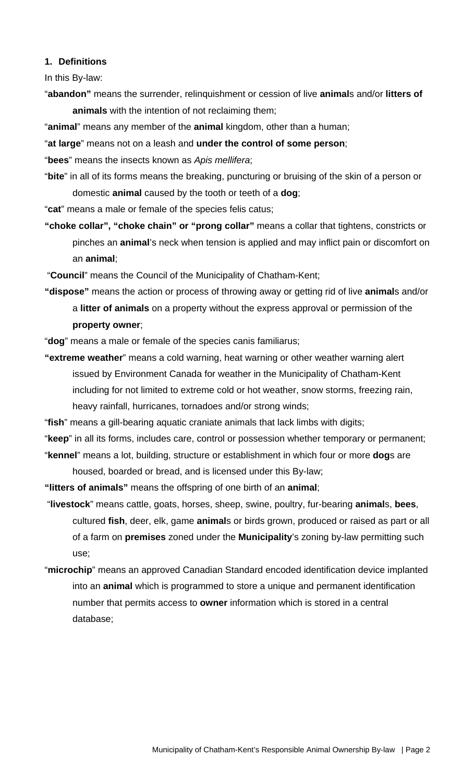#### **1. Definitions**

In this By-law:

"**abandon"** means the surrender, relinquishment or cession of live **animal**s and/or **litters of animals** with the intention of not reclaiming them;

"**animal**" means any member of the **animal** kingdom, other than a human;

"**at large**" means not on a leash and **under the control of some person**;

"**bees**" means the insects known as *Apis mellifera*;

"**bite**" in all of its forms means the breaking, puncturing or bruising of the skin of a person or domestic **animal** caused by the tooth or teeth of a **dog**;

"**cat**" means a male or female of the species felis catus;

**"choke collar", "choke chain" or "prong collar"** means a collar that tightens, constricts or pinches an **animal**'s neck when tension is applied and may inflict pain or discomfort on an **animal**;

"**Council**" means the Council of the Municipality of Chatham-Kent;

**"dispose"** means the action or process of throwing away or getting rid of live **animal**s and/or a **litter of animals** on a property without the express approval or permission of the **property owner**;

"**dog**" means a male or female of the species canis familiarus;

**"extreme weather**" means a cold warning, heat warning or other weather warning alert issued by Environment Canada for weather in the Municipality of Chatham-Kent including for not limited to extreme cold or hot weather, snow storms, freezing rain, heavy rainfall, hurricanes, tornadoes and/or strong winds;

"**fish**" means a gill-bearing aquatic craniate animals that lack limbs with digits;

"**keep**" in all its forms, includes care, control or possession whether temporary or permanent; "**kennel**" means a lot, building, structure or establishment in which four or more **dog**s are

housed, boarded or bread, and is licensed under this By-law;

**"litters of animals"** means the offspring of one birth of an **animal**;

 "**livestock**" means cattle, goats, horses, sheep, swine, poultry, fur-bearing **animal**s, **bees**, cultured **fish**, deer, elk, game **animal**s or birds grown, produced or raised as part or all of a farm on **premises** zoned under the **Municipality**'s zoning by-law permitting such use;

"**microchip**" means an approved Canadian Standard encoded identification device implanted into an **animal** which is programmed to store a unique and permanent identification number that permits access to **owner** information which is stored in a central database;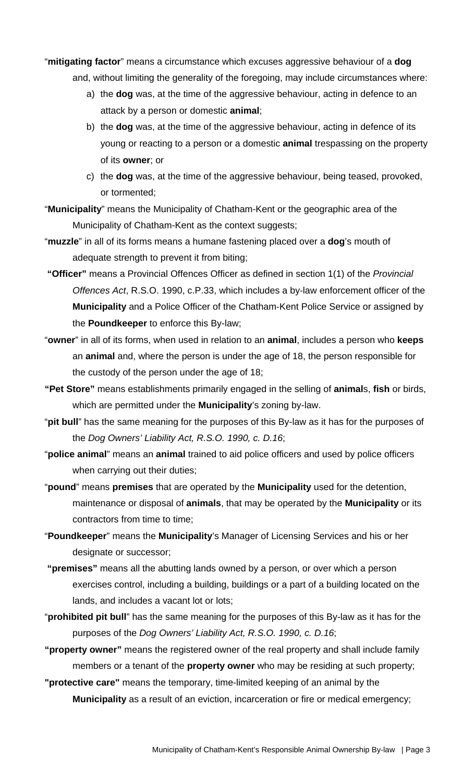"**mitigating factor**" means a circumstance which excuses aggressive behaviour of a **dog**

- and, without limiting the generality of the foregoing, may include circumstances where:
	- a) the **dog** was, at the time of the aggressive behaviour, acting in defence to an attack by a person or domestic **animal**;
	- b) the **dog** was, at the time of the aggressive behaviour, acting in defence of its young or reacting to a person or a domestic **animal** trespassing on the property of its **owner**; or
	- c) the **dog** was, at the time of the aggressive behaviour, being teased, provoked, or tormented;
- "**Municipality**" means the Municipality of Chatham-Kent or the geographic area of the Municipality of Chatham-Kent as the context suggests;
- "**muzzle**" in all of its forms means a humane fastening placed over a **dog**'s mouth of adequate strength to prevent it from biting;
- **"Officer"** means a Provincial Offences Officer as defined in section 1(1) of the *Provincial Offences Act*, R.S.O. 1990, c.P.33, which includes a by‐law enforcement officer of the **Municipality** and a Police Officer of the Chatham‐Kent Police Service or assigned by the **Poundkeeper** to enforce this By-law;
- "**owner**" in all of its forms, when used in relation to an **animal**, includes a person who **keeps** an **animal** and, where the person is under the age of 18, the person responsible for the custody of the person under the age of 18;
- **"Pet Store"** means establishments primarily engaged in the selling of **animal**s, **fish** or birds, which are permitted under the **Municipality**'s zoning by-law.
- "**pit bull**" has the same meaning for the purposes of this By-law as it has for the purposes of the *Dog Owners' Liability Act, R.S.O. 1990, c. D.16*;
- "**police animal**" means an **animal** trained to aid police officers and used by police officers when carrying out their duties;
- "**pound**" means **premises** that are operated by the **Municipality** used for the detention, maintenance or disposal of **animals**, that may be operated by the **Municipality** or its contractors from time to time;
- "**Poundkeeper**" means the **Municipality**'s Manager of Licensing Services and his or her designate or successor;
- **"premises"** means all the abutting lands owned by a person, or over which a person exercises control, including a building, buildings or a part of a building located on the lands, and includes a vacant lot or lots;
- "**prohibited pit bull**" has the same meaning for the purposes of this By-law as it has for the purposes of the *Dog Owners' Liability Act, R.S.O. 1990, c. D.16*;
- **"property owner"** means the registered owner of the real property and shall include family members or a tenant of the **property owner** who may be residing at such property;

**"protective care"** means the temporary, time-limited keeping of an animal by the **Municipality** as a result of an eviction, incarceration or fire or medical emergency;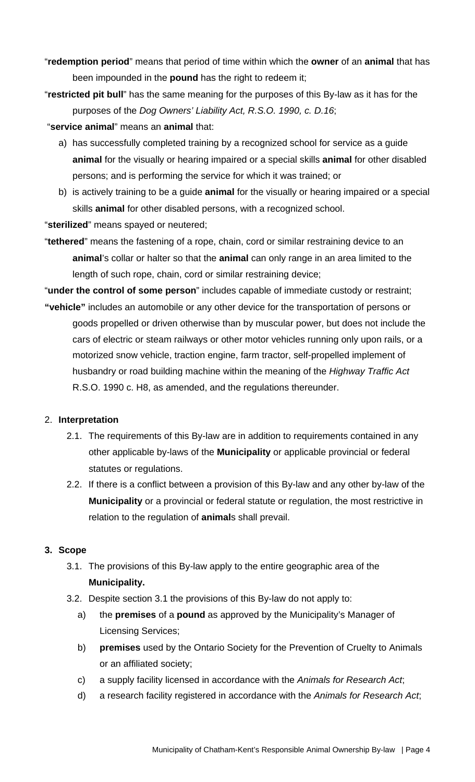- "**redemption period**" means that period of time within which the **owner** of an **animal** that has been impounded in the **pound** has the right to redeem it;
- "**restricted pit bull**" has the same meaning for the purposes of this By-law as it has for the purposes of the *Dog Owners' Liability Act, R.S.O. 1990, c. D.16*;
- "**service animal**" means an **animal** that:
	- a) has successfully completed training by a recognized school for service as a guide **animal** for the visually or hearing impaired or a special skills **animal** for other disabled persons; and is performing the service for which it was trained; or
	- b) is actively training to be a guide **animal** for the visually or hearing impaired or a special skills **animal** for other disabled persons, with a recognized school.

"**sterilized**" means spayed or neutered;

"**tethered**" means the fastening of a rope, chain, cord or similar restraining device to an **animal**'s collar or halter so that the **animal** can only range in an area limited to the length of such rope, chain, cord or similar restraining device;

"**under the control of some person**" includes capable of immediate custody or restraint; **"vehicle"** includes an automobile or any other device for the transportation of persons or

goods propelled or driven otherwise than by muscular power, but does not include the cars of electric or steam railways or other motor vehicles running only upon rails, or a motorized snow vehicle, traction engine, farm tractor, self-propelled implement of husbandry or road building machine within the meaning of the *Highway Traffic Act*  R.S.O. 1990 c. H8, as amended, and the regulations thereunder.

# 2. **Interpretation**

- 2.1. The requirements of this By-law are in addition to requirements contained in any other applicable by-laws of the **Municipality** or applicable provincial or federal statutes or regulations.
- 2.2. If there is a conflict between a provision of this By-law and any other by-law of the **Municipality** or a provincial or federal statute or regulation, the most restrictive in relation to the regulation of **animal**s shall prevail.

# **3. Scope**

- 3.1. The provisions of this By-law apply to the entire geographic area of the **Municipality.**
- 3.2. Despite section 3.1 the provisions of this By-law do not apply to:
	- a) the **premises** of a **pound** as approved by the Municipality's Manager of Licensing Services;
	- b) **premises** used by the Ontario Society for the Prevention of Cruelty to Animals or an affiliated society;
	- c) a supply facility licensed in accordance with the *Animals for Research Act*;
	- d) a research facility registered in accordance with the *Animals for Research Act*;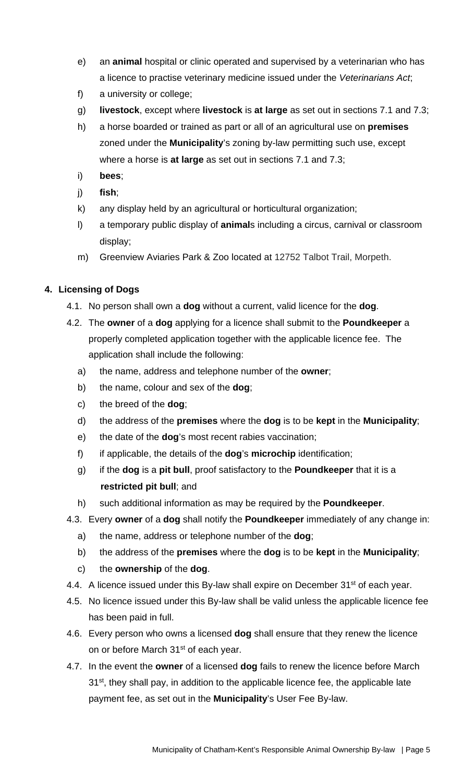- e) an **animal** hospital or clinic operated and supervised by a veterinarian who has a licence to practise veterinary medicine issued under the *Veterinarians Act*;
- f) a university or college;
- g) **livestock**, except where **livestock** is **at large** as set out in sections 7.1 and 7.3;
- h) a horse boarded or trained as part or all of an agricultural use on **premises** zoned under the **Municipality**'s zoning by-law permitting such use, except where a horse is **at large** as set out in sections 7.1 and 7.3;
- i) **bees**;
- j) **fish**;
- k) any display held by an agricultural or horticultural organization;
- l) a temporary public display of **animal**s including a circus, carnival or classroom display;
- m) Greenview Aviaries Park & Zoo located at 12752 Talbot Trail, Morpeth.

# **4. Licensing of Dogs**

- 4.1. No person shall own a **dog** without a current, valid licence for the **dog**.
- 4.2. The **owner** of a **dog** applying for a licence shall submit to the **Poundkeeper** a properly completed application together with the applicable licence fee. The application shall include the following:
	- a) the name, address and telephone number of the **owner**;
	- b) the name, colour and sex of the **dog**;
	- c) the breed of the **dog**;
	- d) the address of the **premises** where the **dog** is to be **kept** in the **Municipality**;
	- e) the date of the **dog**'s most recent rabies vaccination;
	- f) if applicable, the details of the **dog**'s **microchip** identification;
	- g) if the **dog** is a **pit bull**, proof satisfactory to the **Poundkeeper** that it is a **restricted pit bull**; and
	- h) such additional information as may be required by the **Poundkeeper**.
- 4.3. Every **owner** of a **dog** shall notify the **Poundkeeper** immediately of any change in:
	- a) the name, address or telephone number of the **dog**;
	- b) the address of the **premises** where the **dog** is to be **kept** in the **Municipality**;
	- c) the **ownership** of the **dog**.
- 4.4. A licence issued under this By-law shall expire on December 31<sup>st</sup> of each year.
- 4.5. No licence issued under this By-law shall be valid unless the applicable licence fee has been paid in full.
- 4.6. Every person who owns a licensed **dog** shall ensure that they renew the licence on or before March 31<sup>st</sup> of each year.
- 4.7. In the event the **owner** of a licensed **dog** fails to renew the licence before March 31<sup>st</sup>, they shall pay, in addition to the applicable licence fee, the applicable late payment fee, as set out in the **Municipality**'s User Fee By-law.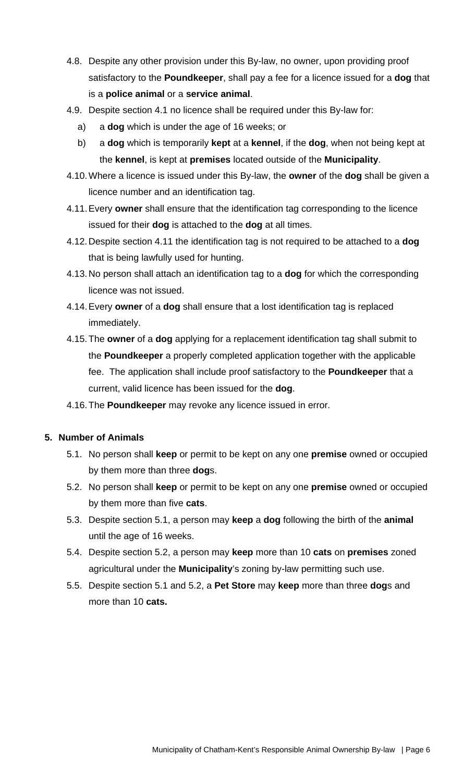- 4.8. Despite any other provision under this By-law, no owner, upon providing proof satisfactory to the **Poundkeeper**, shall pay a fee for a licence issued for a **dog** that is a **police animal** or a **service animal**.
- 4.9. Despite section 4.1 no licence shall be required under this By-law for:
	- a) a **dog** which is under the age of 16 weeks; or
	- b) a **dog** which is temporarily **kept** at a **kennel**, if the **dog**, when not being kept at the **kennel**, is kept at **premises** located outside of the **Municipality**.
- 4.10. Where a licence is issued under this By-law, the **owner** of the **dog** shall be given a licence number and an identification tag.
- 4.11. Every **owner** shall ensure that the identification tag corresponding to the licence issued for their **dog** is attached to the **dog** at all times.
- 4.12. Despite section 4.11 the identification tag is not required to be attached to a **dog**  that is being lawfully used for hunting.
- 4.13. No person shall attach an identification tag to a **dog** for which the corresponding licence was not issued.
- 4.14. Every **owner** of a **dog** shall ensure that a lost identification tag is replaced immediately.
- 4.15. The **owner** of a **dog** applying for a replacement identification tag shall submit to the **Poundkeeper** a properly completed application together with the applicable fee. The application shall include proof satisfactory to the **Poundkeeper** that a current, valid licence has been issued for the **dog**.
- 4.16. The **Poundkeeper** may revoke any licence issued in error.

### **5. Number of Animals**

- 5.1. No person shall **keep** or permit to be kept on any one **premise** owned or occupied by them more than three **dog**s.
- 5.2. No person shall **keep** or permit to be kept on any one **premise** owned or occupied by them more than five **cats**.
- 5.3. Despite section 5.1, a person may **keep** a **dog** following the birth of the **animal** until the age of 16 weeks.
- 5.4. Despite section 5.2, a person may **keep** more than 10 **cats** on **premises** zoned agricultural under the **Municipality**'s zoning by-law permitting such use.
- 5.5. Despite section 5.1 and 5.2, a **Pet Store** may **keep** more than three **dog**s and more than 10 **cats.**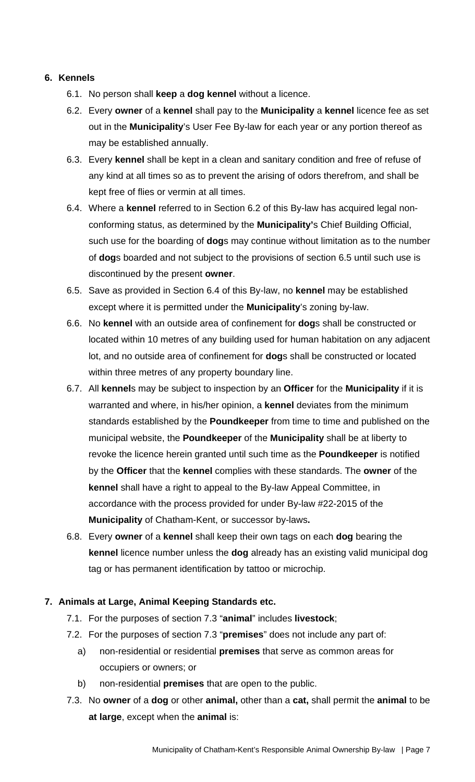### **6. Kennels**

- 6.1. No person shall **keep** a **dog kennel** without a licence.
- 6.2. Every **owner** of a **kennel** shall pay to the **Municipality** a **kennel** licence fee as set out in the **Municipality**'s User Fee By-law for each year or any portion thereof as may be established annually.
- 6.3. Every **kennel** shall be kept in a clean and sanitary condition and free of refuse of any kind at all times so as to prevent the arising of odors therefrom, and shall be kept free of flies or vermin at all times.
- 6.4. Where a **kennel** referred to in Section 6.2 of this By-law has acquired legal nonconforming status, as determined by the **Municipality'**s Chief Building Official, such use for the boarding of **dog**s may continue without limitation as to the number of **dog**s boarded and not subject to the provisions of section 6.5 until such use is discontinued by the present **owner**.
- 6.5. Save as provided in Section 6.4 of this By-law, no **kennel** may be established except where it is permitted under the **Municipality**'s zoning by-law.
- 6.6. No **kennel** with an outside area of confinement for **dog**s shall be constructed or located within 10 metres of any building used for human habitation on any adjacent lot, and no outside area of confinement for **dog**s shall be constructed or located within three metres of any property boundary line.
- 6.7. All **kennel**s may be subject to inspection by an **Officer** for the **Municipality** if it is warranted and where, in his/her opinion, a **kennel** deviates from the minimum standards established by the **Poundkeeper** from time to time and published on the municipal website, the **Poundkeeper** of the **Municipality** shall be at liberty to revoke the licence herein granted until such time as the **Poundkeeper** is notified by the **Officer** that the **kennel** complies with these standards. The **owner** of the **kennel** shall have a right to appeal to the By-law Appeal Committee, in accordance with the process provided for under By-law #22-2015 of the **Municipality** of Chatham-Kent, or successor by-laws**.**
- 6.8. Every **owner** of a **kennel** shall keep their own tags on each **dog** bearing the **kennel** licence number unless the **dog** already has an existing valid municipal dog tag or has permanent identification by tattoo or microchip.

# **7. Animals at Large, Animal Keeping Standards etc.**

- 7.1. For the purposes of section 7.3 "**animal**" includes **livestock**;
- 7.2. For the purposes of section 7.3 "**premises**" does not include any part of:
	- a) non-residential or residential **premises** that serve as common areas for occupiers or owners; or
	- b) non-residential **premises** that are open to the public.
- 7.3. No **owner** of a **dog** or other **animal,** other than a **cat,** shall permit the **animal** to be **at large**, except when the **animal** is: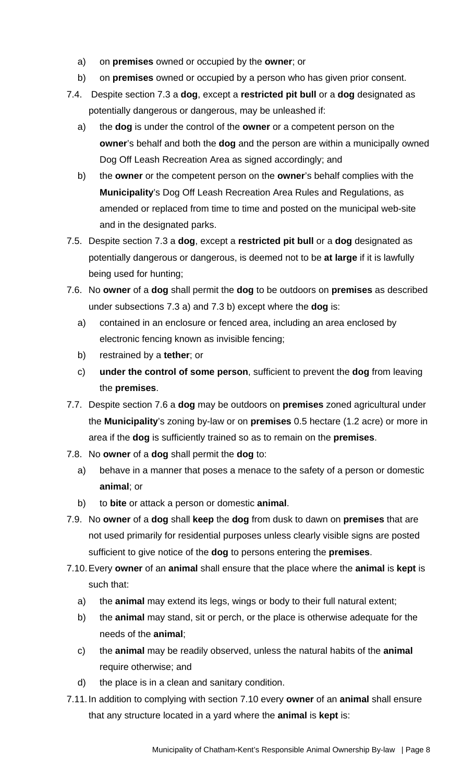- a) on **premises** owned or occupied by the **owner**; or
- b) on **premises** owned or occupied by a person who has given prior consent.
- 7.4. Despite section 7.3 a **dog**, except a **restricted pit bull** or a **dog** designated as potentially dangerous or dangerous, may be unleashed if:
	- a) the **dog** is under the control of the **owner** or a competent person on the **owner**'s behalf and both the **dog** and the person are within a municipally owned Dog Off Leash Recreation Area as signed accordingly; and
	- b) the **owner** or the competent person on the **owner**'s behalf complies with the **Municipality**'s Dog Off Leash Recreation Area Rules and Regulations, as amended or replaced from time to time and posted on the municipal web-site and in the designated parks.
- 7.5. Despite section 7.3 a **dog**, except a **restricted pit bull** or a **dog** designated as potentially dangerous or dangerous, is deemed not to be **at large** if it is lawfully being used for hunting;
- 7.6. No **owner** of a **dog** shall permit the **dog** to be outdoors on **premises** as described under subsections 7.3 a) and 7.3 b) except where the **dog** is:
	- a) contained in an enclosure or fenced area, including an area enclosed by electronic fencing known as invisible fencing;
	- b) restrained by a **tether**; or
	- c) **under the control of some person**, sufficient to prevent the **dog** from leaving the **premises**.
- 7.7. Despite section 7.6 a **dog** may be outdoors on **premises** zoned agricultural under the **Municipality**'s zoning by-law or on **premises** 0.5 hectare (1.2 acre) or more in area if the **dog** is sufficiently trained so as to remain on the **premises**.
- 7.8. No **owner** of a **dog** shall permit the **dog** to:
	- a) behave in a manner that poses a menace to the safety of a person or domestic **animal**; or
	- b) to **bite** or attack a person or domestic **animal**.
- 7.9. No **owner** of a **dog** shall **keep** the **dog** from dusk to dawn on **premises** that are not used primarily for residential purposes unless clearly visible signs are posted sufficient to give notice of the **dog** to persons entering the **premises**.
- 7.10. Every **owner** of an **animal** shall ensure that the place where the **animal** is **kept** is such that:
	- a) the **animal** may extend its legs, wings or body to their full natural extent;
	- b) the **animal** may stand, sit or perch, or the place is otherwise adequate for the needs of the **animal**;
	- c) the **animal** may be readily observed, unless the natural habits of the **animal** require otherwise; and
	- d) the place is in a clean and sanitary condition.
- 7.11. In addition to complying with section 7.10 every **owner** of an **animal** shall ensure that any structure located in a yard where the **animal** is **kept** is: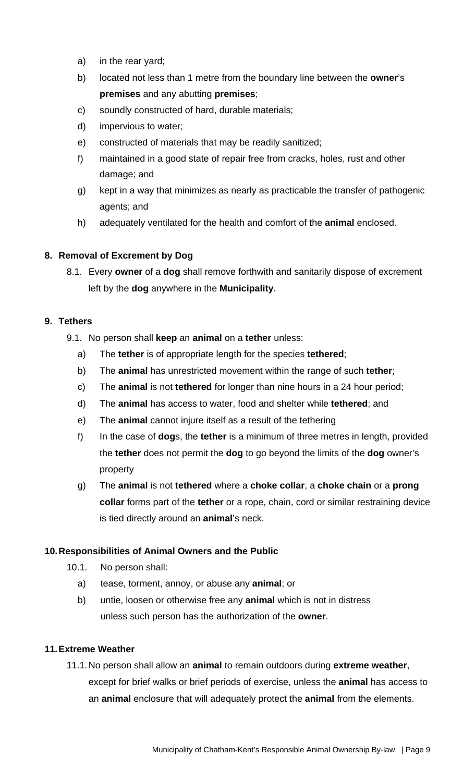- a) in the rear yard;
- b) located not less than 1 metre from the boundary line between the **owner**'s **premises** and any abutting **premises**;
- c) soundly constructed of hard, durable materials;
- d) impervious to water;
- e) constructed of materials that may be readily sanitized;
- f) maintained in a good state of repair free from cracks, holes, rust and other damage; and
- g) kept in a way that minimizes as nearly as practicable the transfer of pathogenic agents; and
- h) adequately ventilated for the health and comfort of the **animal** enclosed.

# **8. Removal of Excrement by Dog**

8.1. Every **owner** of a **dog** shall remove forthwith and sanitarily dispose of excrement left by the **dog** anywhere in the **Municipality**.

# **9. Tethers**

- 9.1. No person shall **keep** an **animal** on a **tether** unless:
	- a) The **tether** is of appropriate length for the species **tethered**;
	- b) The **animal** has unrestricted movement within the range of such **tether**;
	- c) The **animal** is not **tethered** for longer than nine hours in a 24 hour period;
	- d) The **animal** has access to water, food and shelter while **tethered**; and
	- e) The **animal** cannot injure itself as a result of the tethering
	- f) In the case of **dog**s, the **tether** is a minimum of three metres in length, provided the **tether** does not permit the **dog** to go beyond the limits of the **dog** owner's property
	- g) The **animal** is not **tethered** where a **choke collar**, a **choke chain** or a **prong collar** forms part of the **tether** or a rope, chain, cord or similar restraining device is tied directly around an **animal**'s neck.

# **10. Responsibilities of Animal Owners and the Public**

- 10.1. No person shall:
	- a) tease, torment, annoy, or abuse any **animal**; or
	- b) untie, loosen or otherwise free any **animal** which is not in distress unless such person has the authorization of the **owner**.

### **11. Extreme Weather**

11.1. No person shall allow an **animal** to remain outdoors during **extreme weather**, except for brief walks or brief periods of exercise, unless the **animal** has access to an **animal** enclosure that will adequately protect the **animal** from the elements.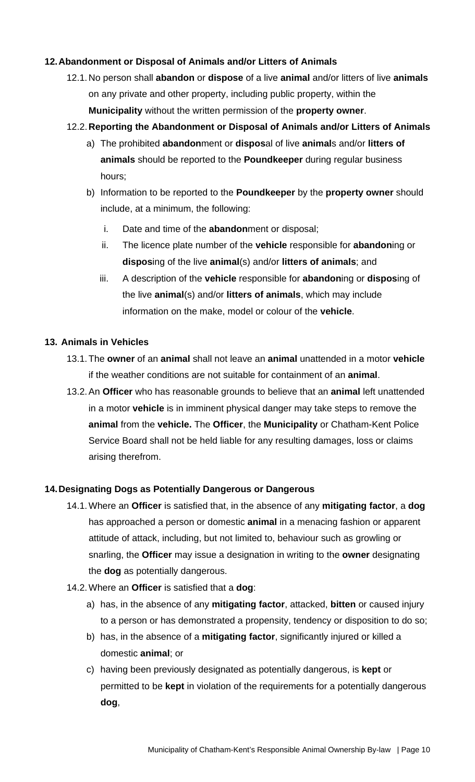# **12. Abandonment or Disposal of Animals and/or Litters of Animals**

12.1. No person shall **abandon** or **dispose** of a live **animal** and/or litters of live **animals** on any private and other property, including public property, within the **Municipality** without the written permission of the **property owner**.

### 12.2. **Reporting the Abandonment or Disposal of Animals and/or Litters of Animals**

- a) The prohibited **abandon**ment or **dispos**al of live **animal**s and/or **litters of animals** should be reported to the **Poundkeeper** during regular business hours;
- b) Information to be reported to the **Poundkeeper** by the **property owner** should include, at a minimum, the following:
	- i. Date and time of the **abandon**ment or disposal;
	- ii. The licence plate number of the **vehicle** responsible for **abandon**ing or **dispos**ing of the live **animal**(s) and/or **litters of animals**; and
	- iii. A description of the **vehicle** responsible for **abandon**ing or **dispos**ing of the live **animal**(s) and/or **litters of animals**, which may include information on the make, model or colour of the **vehicle**.

#### **13. Animals in Vehicles**

- 13.1. The **owner** of an **animal** shall not leave an **animal** unattended in a motor **vehicle** if the weather conditions are not suitable for containment of an **animal**.
- 13.2. An **Officer** who has reasonable grounds to believe that an **animal** left unattended in a motor **vehicle** is in imminent physical danger may take steps to remove the **animal** from the **vehicle.** The **Officer**, the **Municipality** or Chatham-Kent Police Service Board shall not be held liable for any resulting damages, loss or claims arising therefrom.

### **14. Designating Dogs as Potentially Dangerous or Dangerous**

- 14.1. Where an **Officer** is satisfied that, in the absence of any **mitigating factor**, a **dog** has approached a person or domestic **animal** in a menacing fashion or apparent attitude of attack, including, but not limited to, behaviour such as growling or snarling, the **Officer** may issue a designation in writing to the **owner** designating the **dog** as potentially dangerous.
- 14.2. Where an **Officer** is satisfied that a **dog**:
	- a) has, in the absence of any **mitigating factor**, attacked, **bitten** or caused injury to a person or has demonstrated a propensity, tendency or disposition to do so;
	- b) has, in the absence of a **mitigating factor**, significantly injured or killed a domestic **animal**; or
	- c) having been previously designated as potentially dangerous, is **kept** or permitted to be **kept** in violation of the requirements for a potentially dangerous **dog**,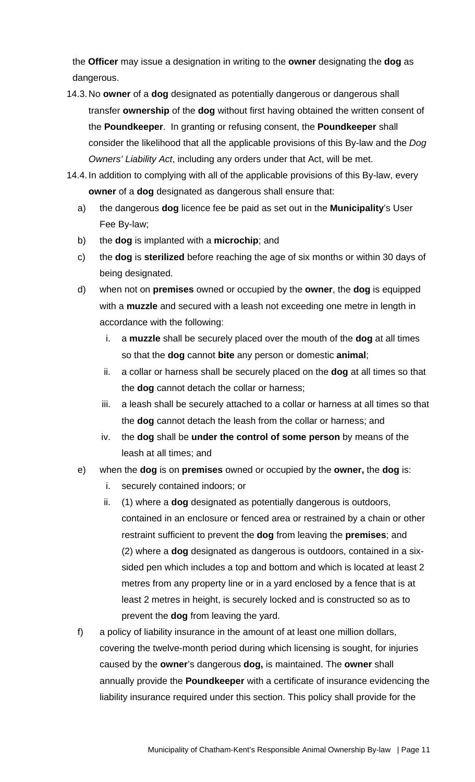the **Officer** may issue a designation in writing to the **owner** designating the **dog** as dangerous.

- 14.3. No **owner** of a **dog** designated as potentially dangerous or dangerous shall transfer **ownership** of the **dog** without first having obtained the written consent of the **Poundkeeper**. In granting or refusing consent, the **Poundkeeper** shall consider the likelihood that all the applicable provisions of this By-law and the *Dog Owners' Liability Act*, including any orders under that Act, will be met.
- 14.4. In addition to complying with all of the applicable provisions of this By-law, every **owner** of a **dog** designated as dangerous shall ensure that:
	- a) the dangerous **dog** licence fee be paid as set out in the **Municipality**'s User Fee By-law;
	- b) the **dog** is implanted with a **microchip**; and
	- c) the **dog** is **sterilized** before reaching the age of six months or within 30 days of being designated.
	- d) when not on **premises** owned or occupied by the **owner**, the **dog** is equipped with a **muzzle** and secured with a leash not exceeding one metre in length in accordance with the following:
		- i. a **muzzle** shall be securely placed over the mouth of the **dog** at all times so that the **dog** cannot **bite** any person or domestic **animal**;
		- ii. a collar or harness shall be securely placed on the **dog** at all times so that the **dog** cannot detach the collar or harness;
		- iii. a leash shall be securely attached to a collar or harness at all times so that the **dog** cannot detach the leash from the collar or harness; and
		- iv. the **dog** shall be **under the control of some person** by means of the leash at all times; and
	- e) when the **dog** is on **premises** owned or occupied by the **owner,** the **dog** is:
		- i. securely contained indoors; or
		- ii. (1) where a **dog** designated as potentially dangerous is outdoors, contained in an enclosure or fenced area or restrained by a chain or other restraint sufficient to prevent the **dog** from leaving the **premises**; and (2) where a **dog** designated as dangerous is outdoors, contained in a sixsided pen which includes a top and bottom and which is located at least 2 metres from any property line or in a yard enclosed by a fence that is at least 2 metres in height, is securely locked and is constructed so as to prevent the **dog** from leaving the yard.
	- f) a policy of liability insurance in the amount of at least one million dollars, covering the twelve-month period during which licensing is sought, for injuries caused by the **owner**'s dangerous **dog,** is maintained. The **owner** shall annually provide the **Poundkeeper** with a certificate of insurance evidencing the liability insurance required under this section. This policy shall provide for the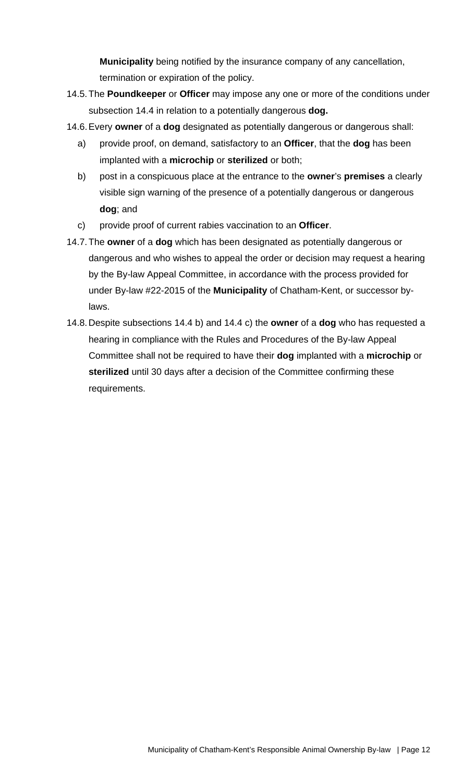**Municipality** being notified by the insurance company of any cancellation, termination or expiration of the policy.

- 14.5. The **Poundkeeper** or **Officer** may impose any one or more of the conditions under subsection 14.4 in relation to a potentially dangerous **dog.**
- 14.6. Every **owner** of a **dog** designated as potentially dangerous or dangerous shall:
	- a) provide proof, on demand, satisfactory to an **Officer**, that the **dog** has been implanted with a **microchip** or **sterilized** or both;
	- b) post in a conspicuous place at the entrance to the **owner**'s **premises** a clearly visible sign warning of the presence of a potentially dangerous or dangerous **dog**; and
	- c) provide proof of current rabies vaccination to an **Officer**.
- 14.7. The **owner** of a **dog** which has been designated as potentially dangerous or dangerous and who wishes to appeal the order or decision may request a hearing by the By-law Appeal Committee, in accordance with the process provided for under By-law #22-2015 of the **Municipality** of Chatham-Kent, or successor bylaws.
- 14.8. Despite subsections 14.4 b) and 14.4 c) the **owner** of a **dog** who has requested a hearing in compliance with the Rules and Procedures of the By-law Appeal Committee shall not be required to have their **dog** implanted with a **microchip** or **sterilized** until 30 days after a decision of the Committee confirming these requirements.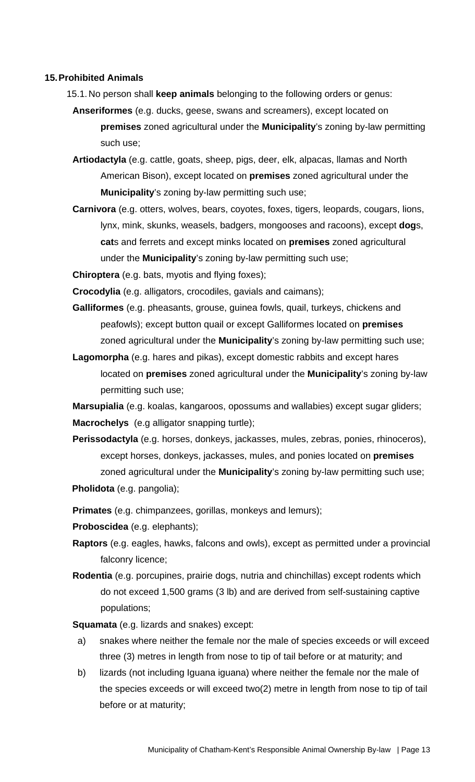#### **15. Prohibited Animals**

- 15.1. No person shall **keep animals** belonging to the following orders or genus:
	- **Anseriformes** (e.g. ducks, geese, swans and screamers), except located on **premises** zoned agricultural under the **Municipality**'s zoning by-law permitting such use;
	- **Artiodactyla** (e.g. cattle, goats, sheep, pigs, deer, elk, alpacas, llamas and North American Bison), except located on **premises** zoned agricultural under the **Municipality**'s zoning by-law permitting such use;
	- **Carnivora** (e.g. otters, wolves, bears, coyotes, foxes, tigers, leopards, cougars, lions, lynx, mink, skunks, weasels, badgers, mongooses and racoons), except **dog**s, **cat**s and ferrets and except minks located on **premises** zoned agricultural under the **Municipality**'s zoning by-law permitting such use;

**Chiroptera** (e.g. bats, myotis and flying foxes);

**Crocodylia** (e.g. alligators, crocodiles, gavials and caimans);

- **Galliformes** (e.g. pheasants, grouse, guinea fowls, quail, turkeys, chickens and peafowls); except button quail or except Galliformes located on **premises**  zoned agricultural under the **Municipality**'s zoning by-law permitting such use;
- **Lagomorpha** (e.g. hares and pikas), except domestic rabbits and except hares located on **premises** zoned agricultural under the **Municipality**'s zoning by-law permitting such use;

**Marsupialia** (e.g. koalas, kangaroos, opossums and wallabies) except sugar gliders; **Macrochelys** (e.g alligator snapping turtle);

- **Perissodactyla** (e.g. horses, donkeys, jackasses, mules, zebras, ponies, rhinoceros), except horses, donkeys, jackasses, mules, and ponies located on **premises**  zoned agricultural under the **Municipality**'s zoning by-law permitting such use;
- **Pholidota** (e.g. pangolia);

**Primates** (e.g. chimpanzees, gorillas, monkeys and lemurs);

**Proboscidea** (e.g. elephants);

- **Raptors** (e.g. eagles, hawks, falcons and owls), except as permitted under a provincial falconry licence;
- **Rodentia** (e.g. porcupines, prairie dogs, nutria and chinchillas) except rodents which do not exceed 1,500 grams (3 lb) and are derived from self-sustaining captive populations;

**Squamata** (e.g. lizards and snakes) except:

- a) snakes where neither the female nor the male of species exceeds or will exceed three (3) metres in length from nose to tip of tail before or at maturity; and
- b) lizards (not including Iguana iguana) where neither the female nor the male of the species exceeds or will exceed two(2) metre in length from nose to tip of tail before or at maturity;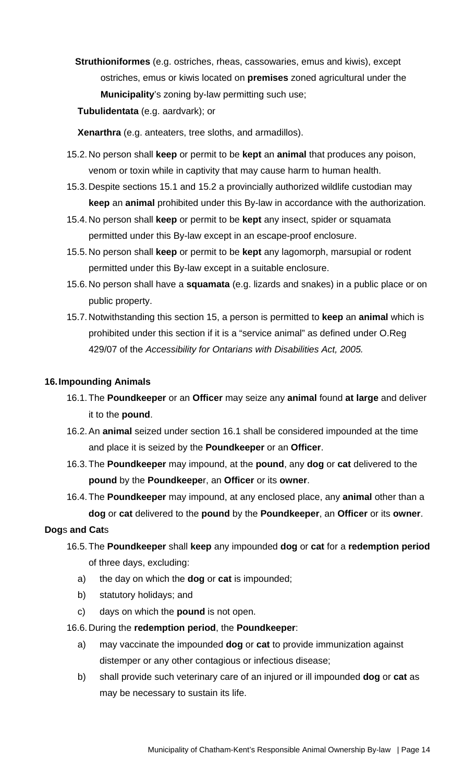- **Struthioniformes** (e.g. ostriches, rheas, cassowaries, emus and kiwis), except ostriches, emus or kiwis located on **premises** zoned agricultural under the **Municipality**'s zoning by-law permitting such use;
- **Tubulidentata** (e.g. aardvark); or

**Xenarthra** (e.g. anteaters, tree sloths, and armadillos).

- 15.2. No person shall **keep** or permit to be **kept** an **animal** that produces any poison, venom or toxin while in captivity that may cause harm to human health.
- 15.3. Despite sections 15.1 and 15.2 a provincially authorized wildlife custodian may **keep** an **animal** prohibited under this By-law in accordance with the authorization.
- 15.4. No person shall **keep** or permit to be **kept** any insect, spider or squamata permitted under this By-law except in an escape-proof enclosure.
- 15.5. No person shall **keep** or permit to be **kept** any lagomorph, marsupial or rodent permitted under this By-law except in a suitable enclosure.
- 15.6. No person shall have a **squamata** (e.g. lizards and snakes) in a public place or on public property.
- 15.7. Notwithstanding this section 15, a person is permitted to **keep** an **animal** which is prohibited under this section if it is a "service animal" as defined under O.Reg 429/07 of the *Accessibility for Ontarians with Disabilities Act, 2005.*

#### **16. Impounding Animals**

- 16.1. The **Poundkeeper** or an **Officer** may seize any **animal** found **at large** and deliver it to the **pound**.
- 16.2. An **animal** seized under section 16.1 shall be considered impounded at the time and place it is seized by the **Poundkeeper** or an **Officer**.
- 16.3. The **Poundkeeper** may impound, at the **pound**, any **dog** or **cat** delivered to the **pound** by the **Poundkeepe**r, an **Officer** or its **owner**.
- 16.4. The **Poundkeeper** may impound, at any enclosed place, any **animal** other than a **dog** or **cat** delivered to the **pound** by the **Poundkeeper**, an **Officer** or its **owner**.

### **Dog**s **and Cat**s

- 16.5. The **Poundkeeper** shall **keep** any impounded **dog** or **cat** for a **redemption period**  of three days, excluding:
	- a) the day on which the **dog** or **cat** is impounded;
	- b) statutory holidays; and
	- c) days on which the **pound** is not open.
- 16.6. During the **redemption period**, the **Poundkeeper**:
	- a) may vaccinate the impounded **dog** or **cat** to provide immunization against distemper or any other contagious or infectious disease;
	- b) shall provide such veterinary care of an injured or ill impounded **dog** or **cat** as may be necessary to sustain its life.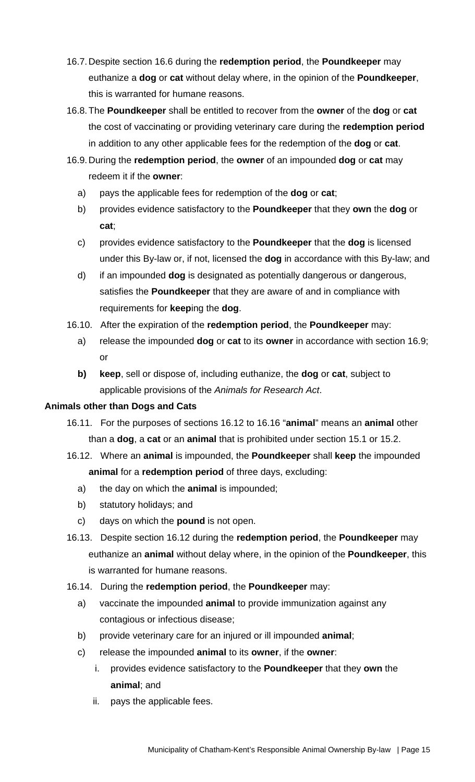- 16.7. Despite section 16.6 during the **redemption period**, the **Poundkeeper** may euthanize a **dog** or **cat** without delay where, in the opinion of the **Poundkeeper**, this is warranted for humane reasons.
- 16.8. The **Poundkeeper** shall be entitled to recover from the **owner** of the **dog** or **cat** the cost of vaccinating or providing veterinary care during the **redemption period** in addition to any other applicable fees for the redemption of the **dog** or **cat**.
- 16.9. During the **redemption period**, the **owner** of an impounded **dog** or **cat** may redeem it if the **owner**:
	- a) pays the applicable fees for redemption of the **dog** or **cat**;
	- b) provides evidence satisfactory to the **Poundkeeper** that they **own** the **dog** or **cat**;
	- c) provides evidence satisfactory to the **Poundkeeper** that the **dog** is licensed under this By-law or, if not, licensed the **dog** in accordance with this By-law; and
	- d) if an impounded **dog** is designated as potentially dangerous or dangerous, satisfies the **Poundkeeper** that they are aware of and in compliance with requirements for **keep**ing the **dog**.
- 16.10. After the expiration of the **redemption period**, the **Poundkeeper** may:
	- a) release the impounded **dog** or **cat** to its **owner** in accordance with section 16.9; or
	- **b) keep**, sell or dispose of, including euthanize, the **dog** or **cat**, subject to applicable provisions of the *Animals for Research Act*.

# **Animals other than Dogs and Cats**

- 16.11. For the purposes of sections 16.12 to 16.16 "**animal**" means an **animal** other than a **dog**, a **cat** or an **animal** that is prohibited under section 15.1 or 15.2.
- 16.12. Where an **animal** is impounded, the **Poundkeeper** shall **keep** the impounded **animal** for a **redemption period** of three days, excluding:
	- a) the day on which the **animal** is impounded;
	- b) statutory holidays; and
	- c) days on which the **pound** is not open.
- 16.13. Despite section 16.12 during the **redemption period**, the **Poundkeeper** may euthanize an **animal** without delay where, in the opinion of the **Poundkeeper**, this is warranted for humane reasons.
- 16.14. During the **redemption period**, the **Poundkeeper** may:
	- a) vaccinate the impounded **animal** to provide immunization against any contagious or infectious disease;
	- b) provide veterinary care for an injured or ill impounded **animal**;
	- c) release the impounded **animal** to its **owner**, if the **owner**:
		- i. provides evidence satisfactory to the **Poundkeeper** that they **own** the **animal**; and
		- ii. pays the applicable fees.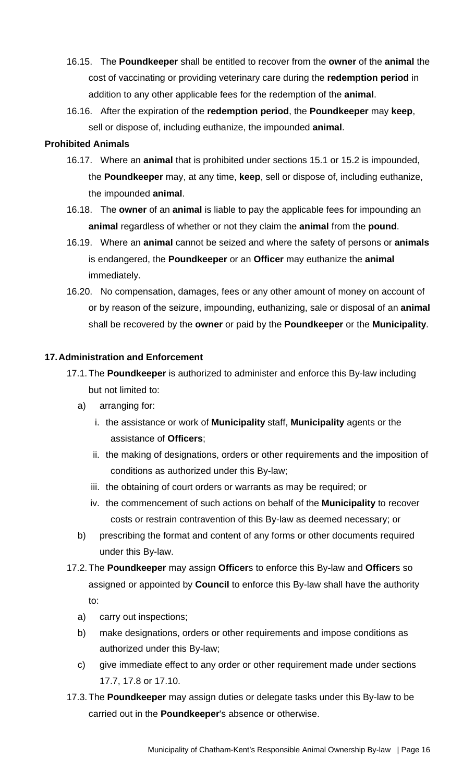- 16.15. The **Poundkeeper** shall be entitled to recover from the **owner** of the **animal** the cost of vaccinating or providing veterinary care during the **redemption period** in addition to any other applicable fees for the redemption of the **animal**.
- 16.16. After the expiration of the **redemption period**, the **Poundkeeper** may **keep**, sell or dispose of, including euthanize, the impounded **animal**.

### **Prohibited Animals**

- 16.17. Where an **animal** that is prohibited under sections 15.1 or 15.2 is impounded, the **Poundkeeper** may, at any time, **keep**, sell or dispose of, including euthanize, the impounded **animal**.
- 16.18. The **owner** of an **animal** is liable to pay the applicable fees for impounding an **animal** regardless of whether or not they claim the **animal** from the **pound**.
- 16.19. Where an **animal** cannot be seized and where the safety of persons or **animals** is endangered, the **Poundkeeper** or an **Officer** may euthanize the **animal**  immediately.
- 16.20. No compensation, damages, fees or any other amount of money on account of or by reason of the seizure, impounding, euthanizing, sale or disposal of an **animal** shall be recovered by the **owner** or paid by the **Poundkeeper** or the **Municipality**.

### **17. Administration and Enforcement**

- 17.1. The **Poundkeeper** is authorized to administer and enforce this By-law including but not limited to:
	- a) arranging for:
		- i. the assistance or work of **Municipality** staff, **Municipality** agents or the assistance of **Officers**;
		- ii. the making of designations, orders or other requirements and the imposition of conditions as authorized under this By-law;
		- iii. the obtaining of court orders or warrants as may be required; or
		- iv. the commencement of such actions on behalf of the **Municipality** to recover costs or restrain contravention of this By-law as deemed necessary; or
	- b) prescribing the format and content of any forms or other documents required under this By-law.
- 17.2. The **Poundkeeper** may assign **Officer**s to enforce this By-law and **Officer**s so assigned or appointed by **Council** to enforce this By-law shall have the authority to:
	- a) carry out inspections;
	- b) make designations, orders or other requirements and impose conditions as authorized under this By-law;
	- c) give immediate effect to any order or other requirement made under sections 17.7, 17.8 or 17.10.
- 17.3. The **Poundkeeper** may assign duties or delegate tasks under this By-law to be carried out in the **Poundkeeper**'s absence or otherwise.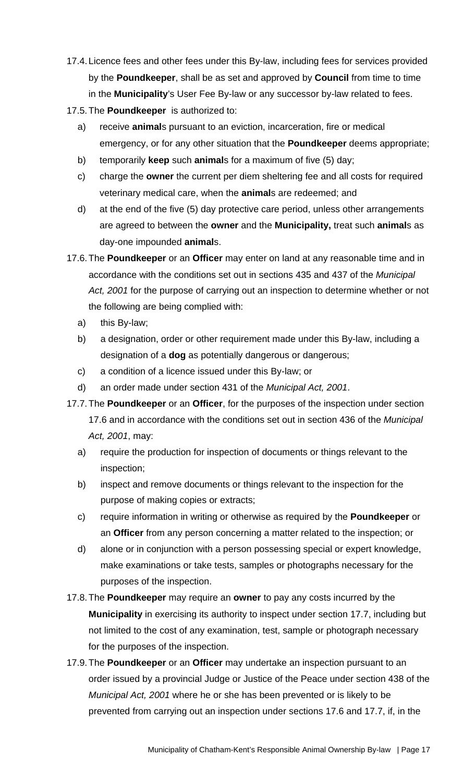- 17.4. Licence fees and other fees under this By-law, including fees for services provided by the **Poundkeeper**, shall be as set and approved by **Council** from time to time in the **Municipality**'s User Fee By-law or any successor by-law related to fees.
- 17.5. The **Poundkeeper** is authorized to:
	- a) receive **animal**s pursuant to an eviction, incarceration, fire or medical emergency, or for any other situation that the **Poundkeeper** deems appropriate;
	- b) temporarily **keep** such **animal**s for a maximum of five (5) day;
	- c) charge the **owner** the current per diem sheltering fee and all costs for required veterinary medical care, when the **animal**s are redeemed; and
	- d) at the end of the five (5) day protective care period, unless other arrangements are agreed to between the **owner** and the **Municipality,** treat such **animal**s as day-one impounded **animal**s.
- 17.6. The **Poundkeeper** or an **Officer** may enter on land at any reasonable time and in accordance with the conditions set out in sections 435 and 437 of the *Municipal Act, 2001* for the purpose of carrying out an inspection to determine whether or not the following are being complied with:
	- a) this By-law;
	- b) a designation, order or other requirement made under this By-law, including a designation of a **dog** as potentially dangerous or dangerous;
	- c) a condition of a licence issued under this By-law; or
	- d) an order made under section 431 of the *Municipal Act, 2001*.
- 17.7. The **Poundkeeper** or an **Officer**, for the purposes of the inspection under section 17.6 and in accordance with the conditions set out in section 436 of the *Municipal Act, 2001*, may:
	- a) require the production for inspection of documents or things relevant to the inspection;
	- b) inspect and remove documents or things relevant to the inspection for the purpose of making copies or extracts;
	- c) require information in writing or otherwise as required by the **Poundkeeper** or an **Officer** from any person concerning a matter related to the inspection; or
	- d) alone or in conjunction with a person possessing special or expert knowledge, make examinations or take tests, samples or photographs necessary for the purposes of the inspection.
- 17.8. The **Poundkeeper** may require an **owner** to pay any costs incurred by the **Municipality** in exercising its authority to inspect under section 17.7, including but not limited to the cost of any examination, test, sample or photograph necessary for the purposes of the inspection.
- 17.9. The **Poundkeeper** or an **Officer** may undertake an inspection pursuant to an order issued by a provincial Judge or Justice of the Peace under section 438 of the *Municipal Act, 2001* where he or she has been prevented or is likely to be prevented from carrying out an inspection under sections 17.6 and 17.7, if, in the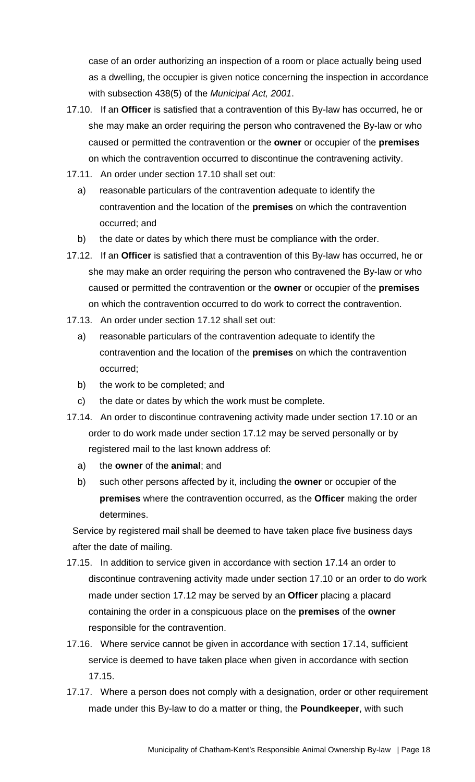case of an order authorizing an inspection of a room or place actually being used as a dwelling, the occupier is given notice concerning the inspection in accordance with subsection 438(5) of the *Municipal Act, 2001*.

- 17.10. If an **Officer** is satisfied that a contravention of this By-law has occurred, he or she may make an order requiring the person who contravened the By-law or who caused or permitted the contravention or the **owner** or occupier of the **premises**  on which the contravention occurred to discontinue the contravening activity.
- 17.11. An order under section 17.10 shall set out:
	- a) reasonable particulars of the contravention adequate to identify the contravention and the location of the **premises** on which the contravention occurred; and
	- b) the date or dates by which there must be compliance with the order.
- 17.12. If an **Officer** is satisfied that a contravention of this By-law has occurred, he or she may make an order requiring the person who contravened the By-law or who caused or permitted the contravention or the **owner** or occupier of the **premises** on which the contravention occurred to do work to correct the contravention.
- 17.13. An order under section 17.12 shall set out:
	- a) reasonable particulars of the contravention adequate to identify the contravention and the location of the **premises** on which the contravention occurred;
	- b) the work to be completed; and
	- c) the date or dates by which the work must be complete.
- 17.14. An order to discontinue contravening activity made under section 17.10 or an order to do work made under section 17.12 may be served personally or by registered mail to the last known address of:
	- a) the **owner** of the **animal**; and
	- b) such other persons affected by it, including the **owner** or occupier of the **premises** where the contravention occurred, as the **Officer** making the order determines.

Service by registered mail shall be deemed to have taken place five business days after the date of mailing.

- 17.15. In addition to service given in accordance with section 17.14 an order to discontinue contravening activity made under section 17.10 or an order to do work made under section 17.12 may be served by an **Officer** placing a placard containing the order in a conspicuous place on the **premises** of the **owner**  responsible for the contravention.
- 17.16. Where service cannot be given in accordance with section 17.14, sufficient service is deemed to have taken place when given in accordance with section 17.15.
- 17.17. Where a person does not comply with a designation, order or other requirement made under this By-law to do a matter or thing, the **Poundkeeper**, with such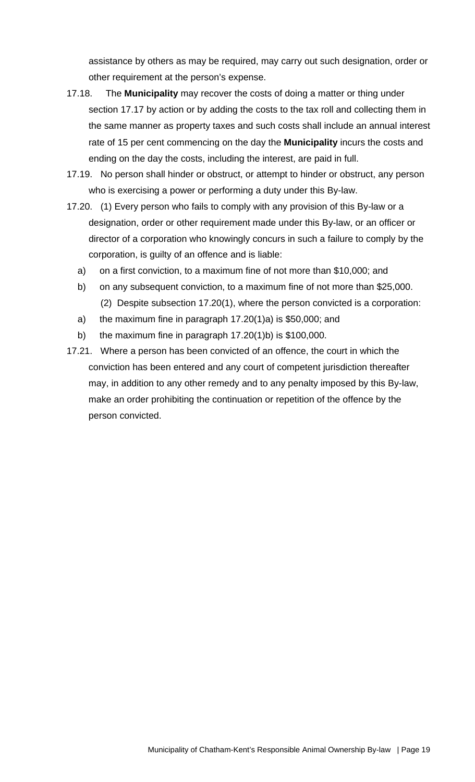assistance by others as may be required, may carry out such designation, order or other requirement at the person's expense.

- 17.18. The **Municipality** may recover the costs of doing a matter or thing under section 17.17 by action or by adding the costs to the tax roll and collecting them in the same manner as property taxes and such costs shall include an annual interest rate of 15 per cent commencing on the day the **Municipality** incurs the costs and ending on the day the costs, including the interest, are paid in full.
- 17.19. No person shall hinder or obstruct, or attempt to hinder or obstruct, any person who is exercising a power or performing a duty under this By-law.
- 17.20. (1) Every person who fails to comply with any provision of this By-law or a designation, order or other requirement made under this By-law, or an officer or director of a corporation who knowingly concurs in such a failure to comply by the corporation, is guilty of an offence and is liable:
	- a) on a first conviction, to a maximum fine of not more than \$10,000; and
	- b) on any subsequent conviction, to a maximum fine of not more than \$25,000. (2) Despite subsection 17.20(1), where the person convicted is a corporation:
	- a) the maximum fine in paragraph 17.20(1)a) is \$50,000; and
	- b) the maximum fine in paragraph 17.20(1)b) is \$100,000.
- 17.21. Where a person has been convicted of an offence, the court in which the conviction has been entered and any court of competent jurisdiction thereafter may, in addition to any other remedy and to any penalty imposed by this By-law, make an order prohibiting the continuation or repetition of the offence by the person convicted.